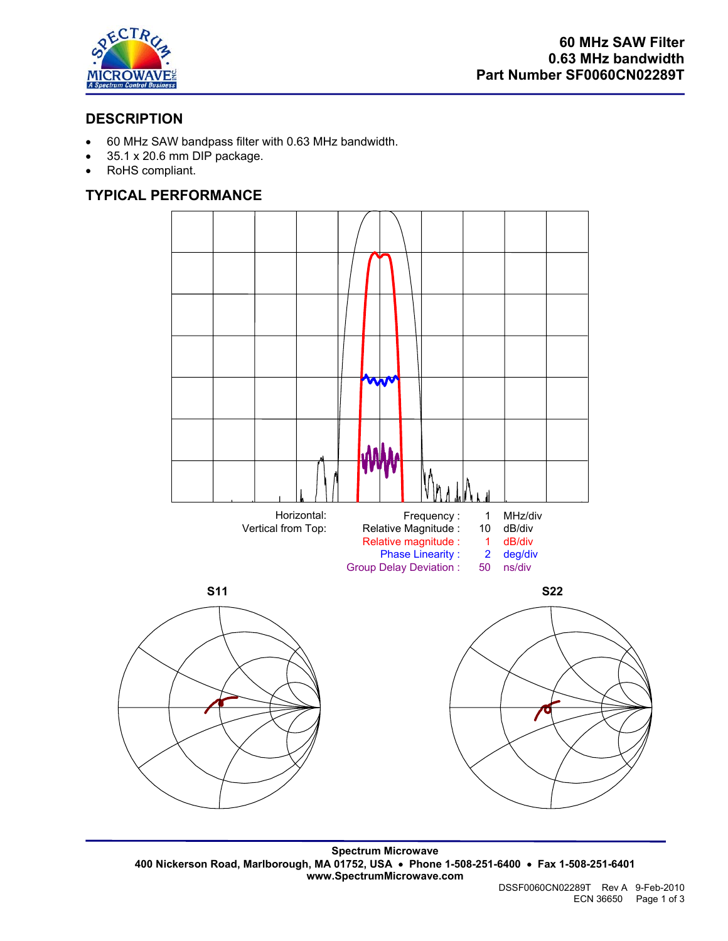

# **DESCRIPTION**

- 60 MHz SAW bandpass filter with 0.63 MHz bandwidth.
- 35.1 x 20.6 mm DIP package.
- RoHS compliant.

## **TYPICAL PERFORMANCE**



**Spectrum Microwave 400 Nickerson Road, Marlborough, MA 01752, USA** • **Phone 1-508-251-6400** • **Fax 1-508-251-6401 www.SpectrumMicrowave.com**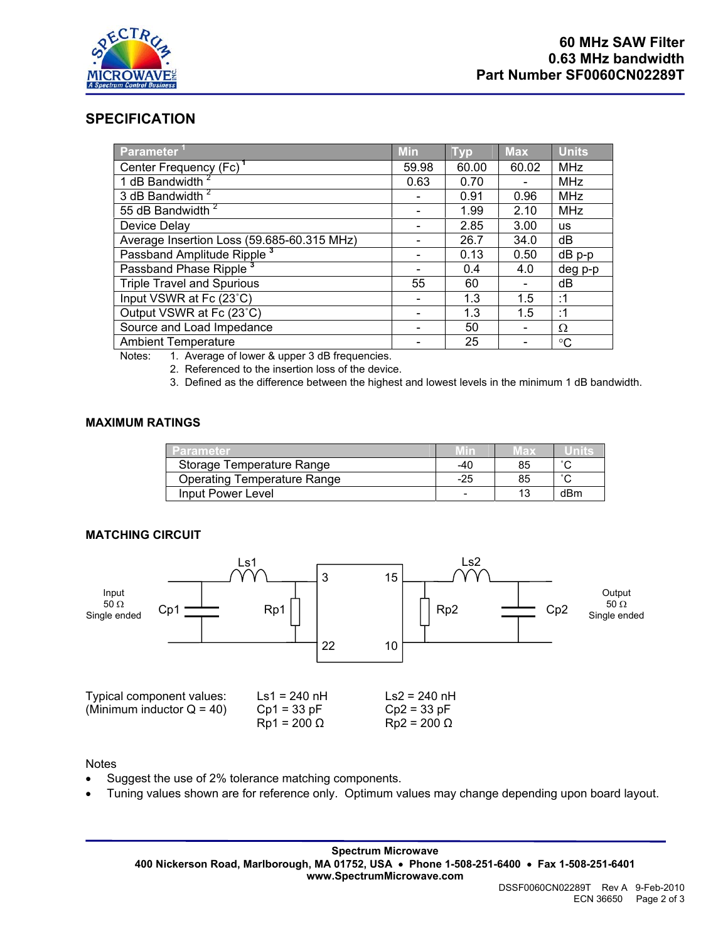

### **SPECIFICATION**

| Parameter                                  | <b>Min</b> | <b>Typ</b> | <b>Max</b> | <b>Units</b> |
|--------------------------------------------|------------|------------|------------|--------------|
| Center Frequency (Fc) <sup>1</sup>         | 59.98      | 60.00      | 60.02      | <b>MHz</b>   |
| 1 dB Bandwidth <sup>2</sup>                | 0.63       | 0.70       |            | <b>MHz</b>   |
| 3 dB Bandwidth <sup>2</sup>                |            | 0.91       | 0.96       | <b>MHz</b>   |
| 55 dB Bandwidth <sup>2</sup>               |            | 1.99       | 2.10       | <b>MHz</b>   |
| Device Delay                               |            | 2.85       | 3.00       | <b>us</b>    |
| Average Insertion Loss (59.685-60.315 MHz) |            | 26.7       | 34.0       | dB           |
| Passband Amplitude Ripple <sup>3</sup>     |            | 0.13       | 0.50       | $dB$ $p-p$   |
| Passband Phase Ripple                      |            | 0.4        | 4.0        | deg p-p      |
| <b>Triple Travel and Spurious</b>          | 55         | 60         |            | dB           |
| Input VSWR at Fc (23°C)                    |            | 1.3        | 1.5        | :1           |
| Output VSWR at Fc (23°C)                   |            | 1.3        | 1.5        | :1           |
| Source and Load Impedance                  |            | 50         |            | Ω            |
| <b>Ambient Temperature</b>                 |            | 25         |            | $^{\circ}C$  |

Notes: 1. Average of lower & upper 3 dB frequencies.

2. Referenced to the insertion loss of the device.

3. Defined as the difference between the highest and lowest levels in the minimum 1 dB bandwidth.

### **MAXIMUM RATINGS**

| Parameter                          | <u> Minz</u> | vax |     |
|------------------------------------|--------------|-----|-----|
| Storage Temperature Range          | -40          | 85  |     |
| <b>Operating Temperature Range</b> | -25          |     |     |
| Input Power Level                  |              |     | dBm |

### **MATCHING CIRCUIT**



#### **Notes**

- Suggest the use of 2% tolerance matching components.
- Tuning values shown are for reference only. Optimum values may change depending upon board layout.

**Spectrum Microwave 400 Nickerson Road, Marlborough, MA 01752, USA** • **Phone 1-508-251-6400** • **Fax 1-508-251-6401 www.SpectrumMicrowave.com**